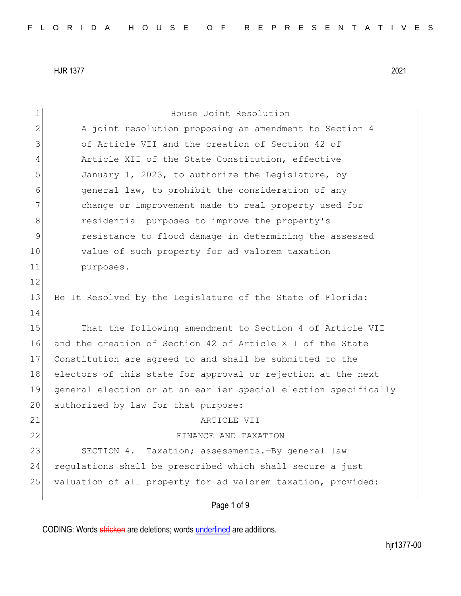| $\mathbf 1$   | House Joint Resolution                                          |
|---------------|-----------------------------------------------------------------|
| $\mathbf{2}$  | A joint resolution proposing an amendment to Section 4          |
| 3             | of Article VII and the creation of Section 42 of                |
| 4             | Article XII of the State Constitution, effective                |
| 5             | January 1, 2023, to authorize the Legislature, by               |
| 6             | general law, to prohibit the consideration of any               |
| 7             | change or improvement made to real property used for            |
| 8             | residential purposes to improve the property's                  |
| $\mathcal{G}$ | resistance to flood damage in determining the assessed          |
| 10            | value of such property for ad valorem taxation                  |
| 11            | purposes.                                                       |
| 12            |                                                                 |
| 13            | Be It Resolved by the Legislature of the State of Florida:      |
| 14            |                                                                 |
| 15            | That the following amendment to Section 4 of Article VII        |
| 16            | and the creation of Section 42 of Article XII of the State      |
| 17            | Constitution are agreed to and shall be submitted to the        |
| 18            | electors of this state for approval or rejection at the next    |
| 19            | general election or at an earlier special election specifically |
| 20            | authorized by law for that purpose:                             |
| 21            | ARTICLE VII                                                     |
| 22            | FINANCE AND TAXATION                                            |
| 23            | SECTION 4. Taxation; assessments. - By general law              |
| 24            | regulations shall be prescribed which shall secure a just       |
| 25            | valuation of all property for ad valorem taxation, provided:    |
|               | Page 1 of 9                                                     |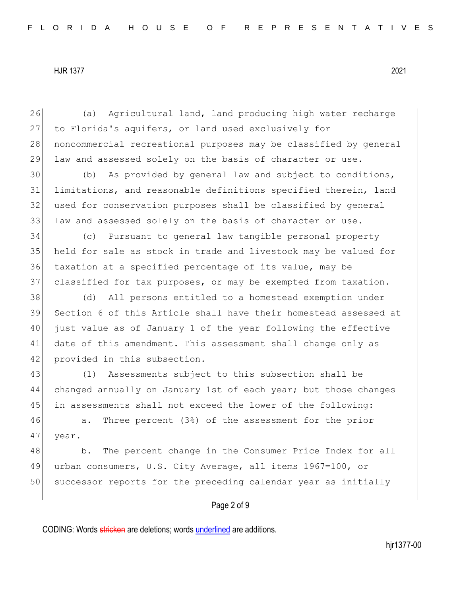26 (a) Agricultural land, land producing high water recharge 27 to Florida's aquifers, or land used exclusively for 28 noncommercial recreational purposes may be classified by general 29 law and assessed solely on the basis of character or use.

30 (b) As provided by general law and subject to conditions, 31 limitations, and reasonable definitions specified therein, land 32 used for conservation purposes shall be classified by general 33 law and assessed solely on the basis of character or use.

 (c) Pursuant to general law tangible personal property held for sale as stock in trade and livestock may be valued for taxation at a specified percentage of its value, may be classified for tax purposes, or may be exempted from taxation.

38 (d) All persons entitled to a homestead exemption under 39 Section 6 of this Article shall have their homestead assessed at 40 just value as of January 1 of the year following the effective 41 date of this amendment. This assessment shall change only as 42 provided in this subsection.

43 (1) Assessments subject to this subsection shall be 44 changed annually on January 1st of each year; but those changes 45 in assessments shall not exceed the lower of the following:

46 a. Three percent (3%) of the assessment for the prior 47 year.

48 b. The percent change in the Consumer Price Index for all 49 urban consumers, U.S. City Average, all items 1967=100, or 50 successor reports for the preceding calendar year as initially

### Page 2 of 9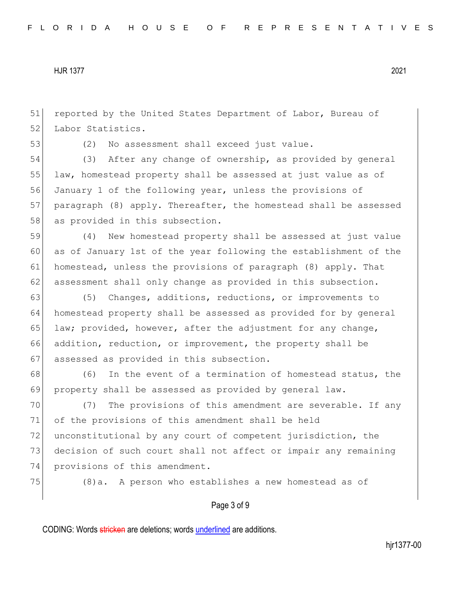51 reported by the United States Department of Labor, Bureau of 52 Labor Statistics.

53 (2) No assessment shall exceed just value.

54 (3) After any change of ownership, as provided by general 55 law, homestead property shall be assessed at just value as of 56 January 1 of the following year, unless the provisions of 57 paragraph (8) apply. Thereafter, the homestead shall be assessed 58 as provided in this subsection.

59 (4) New homestead property shall be assessed at just value 60 as of January 1st of the year following the establishment of the 61 homestead, unless the provisions of paragraph (8) apply. That 62 assessment shall only change as provided in this subsection.

63 (5) Changes, additions, reductions, or improvements to 64 homestead property shall be assessed as provided for by general 65 law; provided, however, after the adjustment for any change, 66 addition, reduction, or improvement, the property shall be 67 assessed as provided in this subsection.

68 (6) In the event of a termination of homestead status, the 69 property shall be assessed as provided by general law.

70 (7) The provisions of this amendment are severable. If any 71 of the provisions of this amendment shall be held 72 unconstitutional by any court of competent jurisdiction, the 73 decision of such court shall not affect or impair any remaining 74 provisions of this amendment.

75 (8)a. A person who establishes a new homestead as of

### Page 3 of 9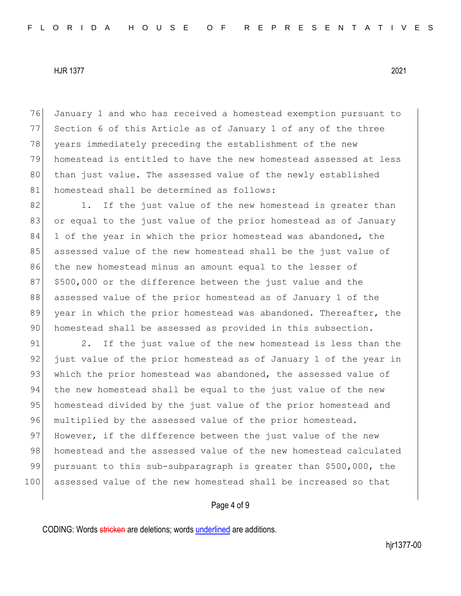76 January 1 and who has received a homestead exemption pursuant to 77 Section 6 of this Article as of January 1 of any of the three 78 years immediately preceding the establishment of the new 79 homestead is entitled to have the new homestead assessed at less 80 than just value. The assessed value of the newly established 81 homestead shall be determined as follows:

82 1. If the just value of the new homestead is greater than 83 or equal to the just value of the prior homestead as of January 84 1 of the year in which the prior homestead was abandoned, the 85 assessed value of the new homestead shall be the just value of 86 the new homestead minus an amount equal to the lesser of 87 \$500,000 or the difference between the just value and the 88 assessed value of the prior homestead as of January 1 of the 89 year in which the prior homestead was abandoned. Thereafter, the 90 homestead shall be assessed as provided in this subsection.

91 2. If the just value of the new homestead is less than the 92 just value of the prior homestead as of January 1 of the year in 93 which the prior homestead was abandoned, the assessed value of 94 the new homestead shall be equal to the just value of the new 95 homestead divided by the just value of the prior homestead and 96 multiplied by the assessed value of the prior homestead. 97 However, if the difference between the just value of the new 98 homestead and the assessed value of the new homestead calculated 99 pursuant to this sub-subparagraph is greater than \$500,000, the 100 assessed value of the new homestead shall be increased so that

# Page 4 of 9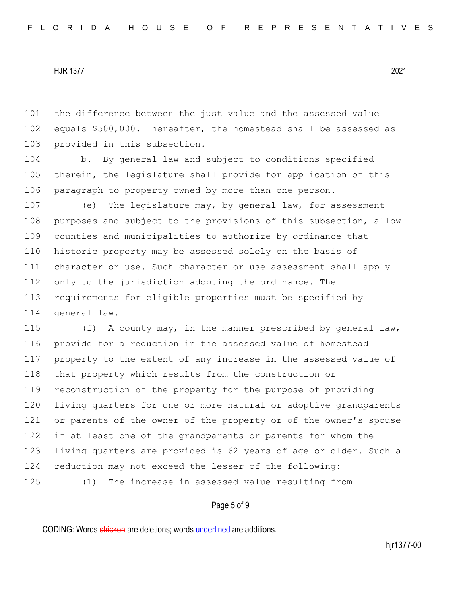101 the difference between the just value and the assessed value 102 equals \$500,000. Thereafter, the homestead shall be assessed as 103 provided in this subsection.

104 b. By general law and subject to conditions specified 105 therein, the legislature shall provide for application of this 106 paragraph to property owned by more than one person.

107 (e) The legislature may, by general law, for assessment 108 purposes and subject to the provisions of this subsection, allow 109 counties and municipalities to authorize by ordinance that 110 historic property may be assessed solely on the basis of 111 character or use. Such character or use assessment shall apply 112 only to the jurisdiction adopting the ordinance. The 113 requirements for eligible properties must be specified by 114 general law.

115 (f) A county may, in the manner prescribed by general law, 116 provide for a reduction in the assessed value of homestead 117 property to the extent of any increase in the assessed value of 118 that property which results from the construction or 119 reconstruction of the property for the purpose of providing 120 living quarters for one or more natural or adoptive grandparents 121 or parents of the owner of the property or of the owner's spouse 122 if at least one of the grandparents or parents for whom the 123 living quarters are provided is 62 years of age or older. Such a 124 reduction may not exceed the lesser of the following: 125 (1) The increase in assessed value resulting from

### Page 5 of 9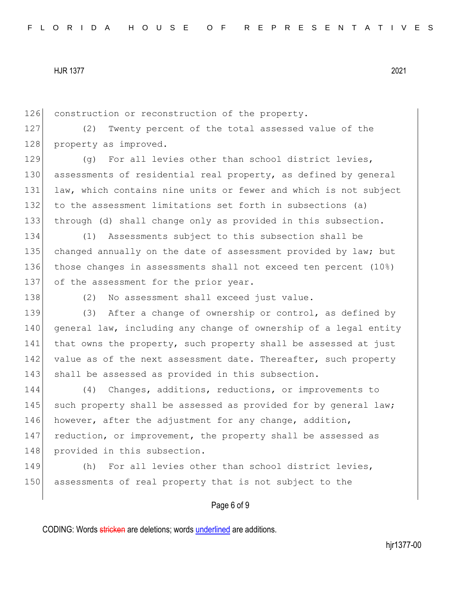126 construction or reconstruction of the property.

127 (2) Twenty percent of the total assessed value of the 128 property as improved.

129 (g) For all levies other than school district levies, 130 assessments of residential real property, as defined by general 131 law, which contains nine units or fewer and which is not subject 132 to the assessment limitations set forth in subsections (a) 133 through (d) shall change only as provided in this subsection.

134 (1) Assessments subject to this subsection shall be 135 changed annually on the date of assessment provided by law; but 136 those changes in assessments shall not exceed ten percent (10%) 137 of the assessment for the prior year.

138 (2) No assessment shall exceed just value.

139 (3) After a change of ownership or control, as defined by 140 general law, including any change of ownership of a legal entity 141 that owns the property, such property shall be assessed at just 142 value as of the next assessment date. Thereafter, such property 143 shall be assessed as provided in this subsection.

144 (4) Changes, additions, reductions, or improvements to 145 such property shall be assessed as provided for by general law; 146 however, after the adjustment for any change, addition, 147 reduction, or improvement, the property shall be assessed as 148 provided in this subsection.

149 (h) For all levies other than school district levies, 150 assessments of real property that is not subject to the

# Page 6 of 9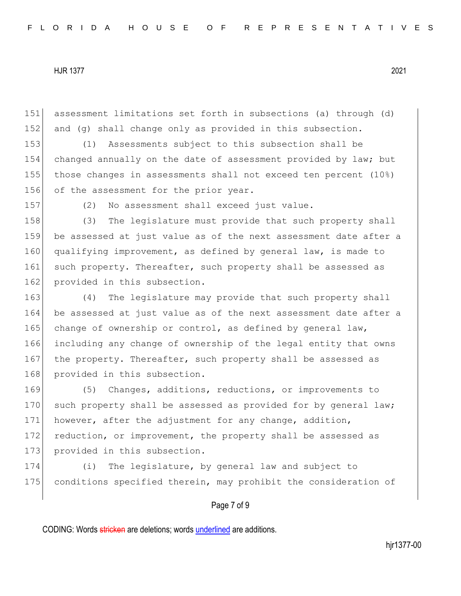151 assessment limitations set forth in subsections (a) through (d) 152 and (g) shall change only as provided in this subsection.

 (1) Assessments subject to this subsection shall be changed annually on the date of assessment provided by law; but those changes in assessments shall not exceed ten percent (10%) 156 of the assessment for the prior year.

157 (2) No assessment shall exceed just value.

158 (3) The legislature must provide that such property shall 159 be assessed at just value as of the next assessment date after a 160 qualifying improvement, as defined by general law, is made to 161 such property. Thereafter, such property shall be assessed as 162 provided in this subsection.

163 (4) The legislature may provide that such property shall 164 be assessed at just value as of the next assessment date after a 165 change of ownership or control, as defined by general law, 166 including any change of ownership of the legal entity that owns 167 the property. Thereafter, such property shall be assessed as 168 provided in this subsection.

169 (5) Changes, additions, reductions, or improvements to 170 such property shall be assessed as provided for by general law; 171 however, after the adjustment for any change, addition, 172 reduction, or improvement, the property shall be assessed as 173 provided in this subsection.

174 (i) The legislature, by general law and subject to 175 conditions specified therein, may prohibit the consideration of

### Page 7 of 9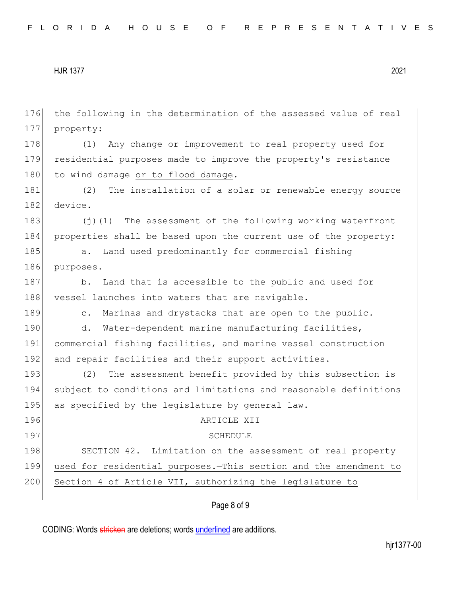176 the following in the determination of the assessed value of real 177 property: 178 (1) Any change or improvement to real property used for 179 residential purposes made to improve the property's resistance 180 to wind damage or to flood damage. 181 (2) The installation of a solar or renewable energy source 182 device. 183 (j)(1) The assessment of the following working waterfront 184 properties shall be based upon the current use of the property: 185 a. Land used predominantly for commercial fishing 186 purposes. 187 b. Land that is accessible to the public and used for 188 vessel launches into waters that are navigable. 189 c. Marinas and drystacks that are open to the public. 190 d. Water-dependent marine manufacturing facilities, 191 commercial fishing facilities, and marine vessel construction 192 and repair facilities and their support activities. 193 (2) The assessment benefit provided by this subsection is 194 subject to conditions and limitations and reasonable definitions 195 as specified by the legislature by general law. 196 ARTICLE XII 197 SCHEDULE 198 SECTION 42. Limitation on the assessment of real property 199 used for residential purposes.—This section and the amendment to 200 Section 4 of Article VII, authorizing the legislature to

# Page 8 of 9